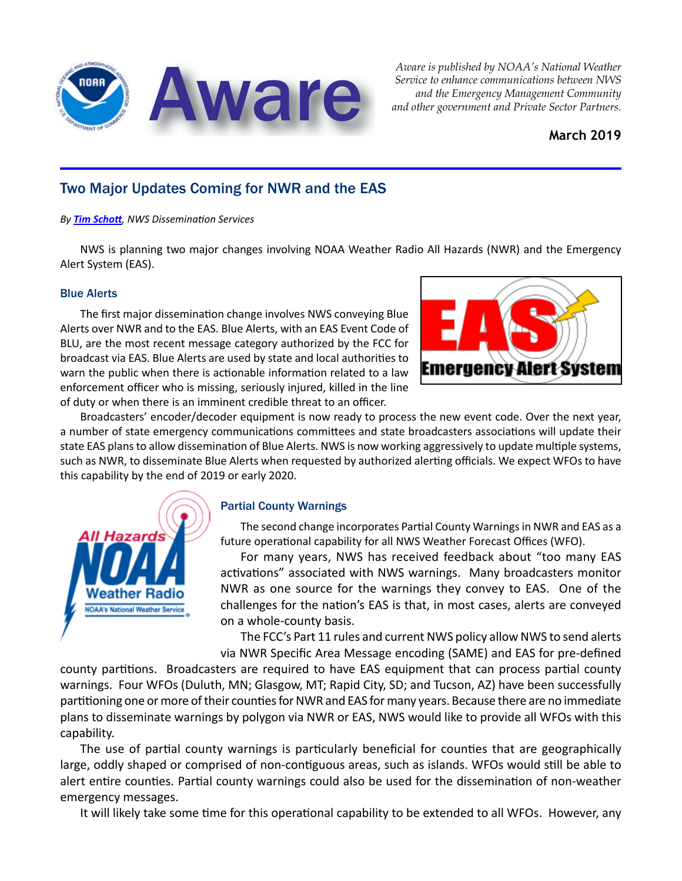

*Aware is published by NOAA's National Weather Service to enhance communications between NWS* 

### **March 2019**

## Two Major Updates Coming for NWR and the EAS

#### *By [Tim Schott](mailto:timothy.schott@noaa.gov), NWS Dissemination Services*

NWS is planning two major changes involving NOAA Weather Radio All Hazards (NWR) and the Emergency Alert System (EAS).

#### Blue Alerts

The first major dissemination change involves NWS conveying Blue Alerts over NWR and to the EAS. Blue Alerts, with an EAS Event Code of BLU, are the most recent message category authorized by the FCC for broadcast via EAS. Blue Alerts are used by state and local authorities to warn the public when there is actionable information related to a law enforcement officer who is missing, seriously injured, killed in the line of duty or when there is an imminent credible threat to an officer.



Broadcasters' encoder/decoder equipment is now ready to process the new event code. Over the next year, a number of state emergency communications committees and state broadcasters associations will update their state EAS plans to allow dissemination of Blue Alerts. NWS is now working aggressively to update multiple systems, such as NWR, to disseminate Blue Alerts when requested by authorized alerting officials. We expect WFOs to have this capability by the end of 2019 or early 2020.



#### Partial County Warnings

The second change incorporates Partial County Warnings in NWR and EAS as a future operational capability for all NWS Weather Forecast Offices (WFO).

For many years, NWS has received feedback about "too many EAS activations" associated with NWS warnings. Many broadcasters monitor NWR as one source for the warnings they convey to EAS. One of the challenges for the nation's EAS is that, in most cases, alerts are conveyed on a whole-county basis.

The FCC's Part 11 rules and current NWS policy allow NWS to send alerts via NWR Specific Area Message encoding (SAME) and EAS for pre-defined

county partitions. Broadcasters are required to have EAS equipment that can process partial county warnings. Four WFOs (Duluth, MN; Glasgow, MT; Rapid City, SD; and Tucson, AZ) have been successfully partitioning one or more of their counties for NWR and EAS for many years. Because there are no immediate plans to disseminate warnings by polygon via NWR or EAS, NWS would like to provide all WFOs with this capability.

The use of partial county warnings is particularly beneficial for counties that are geographically large, oddly shaped or comprised of non-contiguous areas, such as islands. WFOs would still be able to alert entire counties. Partial county warnings could also be used for the dissemination of non-weather emergency messages.

It will likely take some time for this operational capability to be extended to all WFOs. However, any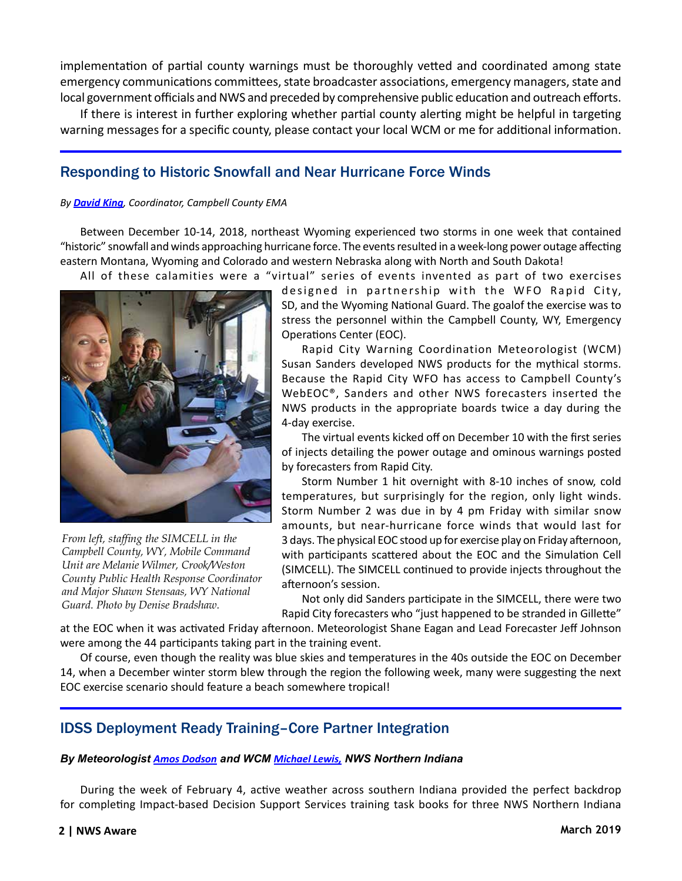implementation of partial county warnings must be thoroughly vetted and coordinated among state emergency communications committees, state broadcaster associations, emergency managers, state and local government officials and NWS and preceded by comprehensive public education and outreach efforts.

If there is interest in further exploring whether partial county alerting might be helpful in targeting warning messages for a specific county, please contact your local WCM or me for additional information.

## Responding to Historic Snowfall and Near Hurricane Force Winds

#### *By [David King](mailto:DAK41@ccgov.net), Coordinator, Campbell County EMA*

Between December 10-14, 2018, northeast Wyoming experienced two storms in one week that contained "historic" snowfall and winds approaching hurricane force. The events resulted in a week-long power outage affecting eastern Montana, Wyoming and Colorado and western Nebraska along with North and South Dakota!

All of these calamities were a "virtual" series of events invented as part of two exercises



*From left, staffing the SIMCELL in the Campbell County, WY, Mobile Command Unit are Melanie Wilmer, Crook/Weston County Public Health Response Coordinator and Major Shawn Stensaas, WY National Guard. Photo by Denise Bradshaw..*

designed in partnership with the WFO Rapid City, SD, and the Wyoming National Guard. The goalof the exercise was to stress the personnel within the Campbell County, WY, Emergency Operations Center (EOC).

Rapid City Warning Coordination Meteorologist (WCM) Susan Sanders developed NWS products for the mythical storms. Because the Rapid City WFO has access to Campbell County's WebEOC®, Sanders and other NWS forecasters inserted the NWS products in the appropriate boards twice a day during the 4-day exercise.

The virtual events kicked off on December 10 with the first series of injects detailing the power outage and ominous warnings posted by forecasters from Rapid City.

Storm Number 1 hit overnight with 8-10 inches of snow, cold temperatures, but surprisingly for the region, only light winds. Storm Number 2 was due in by 4 pm Friday with similar snow amounts, but near-hurricane force winds that would last for 3 days. The physical EOC stood up for exercise play on Friday afternoon, with participants scattered about the EOC and the Simulation Cell (SIMCELL). The SIMCELL continued to provide injects throughout the afternoon's session.

Not only did Sanders participate in the SIMCELL, there were two Rapid City forecasters who "just happened to be stranded in Gillette"

at the EOC when it was activated Friday afternoon. Meteorologist Shane Eagan and Lead Forecaster Jeff Johnson were among the 44 participants taking part in the training event.

Of course, even though the reality was blue skies and temperatures in the 40s outside the EOC on December 14, when a December winter storm blew through the region the following week, many were suggesting the next EOC exercise scenario should feature a beach somewhere tropical!

## IDSS Deployment Ready Training–Core Partner Integration

#### *By Meteorologist [Amos Dodson](mailto:Amos.Dodson@noaa.gov) and WCM [Michael Lewis](mailto:michael.lewis@noaa.gov), NWS Northern Indiana*

During the week of February 4, active weather across southern Indiana provided the perfect backdrop for completing Impact-based Decision Support Services training task books for three NWS Northern Indiana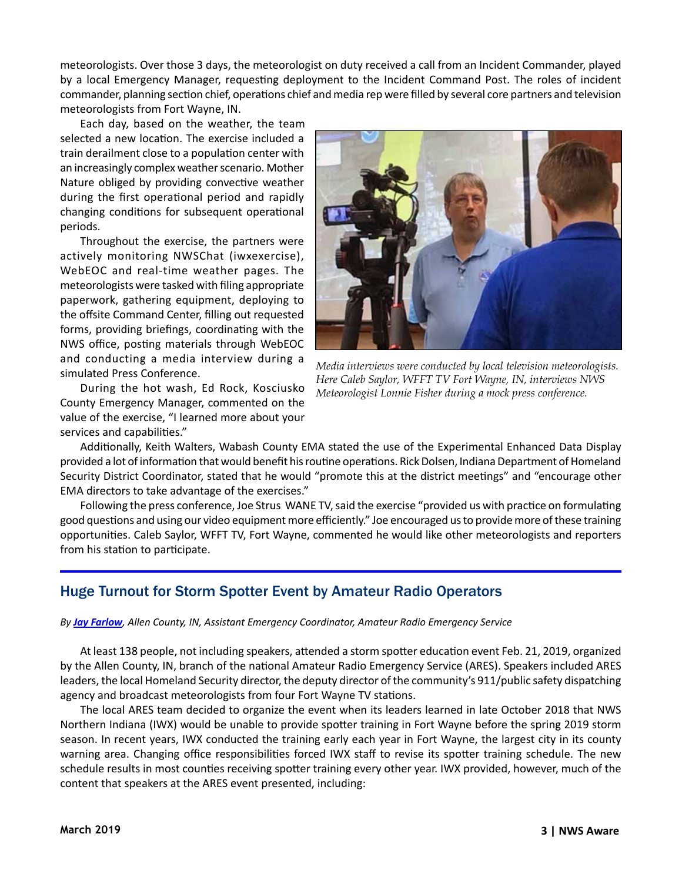meteorologists. Over those 3 days, the meteorologist on duty received a call from an Incident Commander, played by a local Emergency Manager, requesting deployment to the Incident Command Post. The roles of incident commander, planning section chief, operations chief and media rep were filled by several core partners and television meteorologists from Fort Wayne, IN.

Each day, based on the weather, the team selected a new location. The exercise included a train derailment close to a population center with an increasingly complex weather scenario. Mother Nature obliged by providing convective weather during the first operational period and rapidly changing conditions for subsequent operational periods.

Throughout the exercise, the partners were actively monitoring NWSChat (iwxexercise), WebEOC and real-time weather pages. The meteorologists were tasked with filing appropriate paperwork, gathering equipment, deploying to the offsite Command Center, filling out requested forms, providing briefings, coordinating with the NWS office, posting materials through WebEOC and conducting a media interview during a simulated Press Conference.

During the hot wash, Ed Rock, Kosciusko County Emergency Manager, commented on the value of the exercise, "I learned more about your services and capabilities."



*Media interviews were conducted by local television meteorologists. Here Caleb Saylor, WFFT TV Fort Wayne, IN, interviews NWS Meteorologist Lonnie Fisher during a mock press conference.* 

Additionally, Keith Walters, Wabash County EMA stated the use of the Experimental Enhanced Data Display provided a lot of information that would benefit his routine operations. Rick Dolsen, Indiana Department of Homeland Security District Coordinator, stated that he would "promote this at the district meetings" and "encourage other EMA directors to take advantage of the exercises."

Following the press conference, Joe Strus WANE TV, said the exercise "provided us with practice on formulating good questions and using our video equipment more efficiently." Joe encouraged us to provide more of these training opportunities. Caleb Saylor, WFFT TV, Fort Wayne, commented he would like other meteorologists and reporters from his station to participate.

## Huge Turnout for Storm Spotter Event by Amateur Radio Operators

#### *By [Jay Farlow](mailto:arsw9lw@gmail.com), Allen County, IN, Assistant Emergency Coordinator, Amateur Radio Emergency Service*

At least 138 people, not including speakers, attended a storm spotter education event Feb. 21, 2019, organized by the Allen County, IN, branch of the national Amateur Radio Emergency Service (ARES). Speakers included ARES leaders, the local Homeland Security director, the deputy director of the community's 911/public safety dispatching agency and broadcast meteorologists from four Fort Wayne TV stations.

The local ARES team decided to organize the event when its leaders learned in late October 2018 that NWS Northern Indiana (IWX) would be unable to provide spotter training in Fort Wayne before the spring 2019 storm season. In recent years, IWX conducted the training early each year in Fort Wayne, the largest city in its county warning area. Changing office responsibilities forced IWX staff to revise its spotter training schedule. The new schedule results in most counties receiving spotter training every other year. IWX provided, however, much of the content that speakers at the ARES event presented, including: